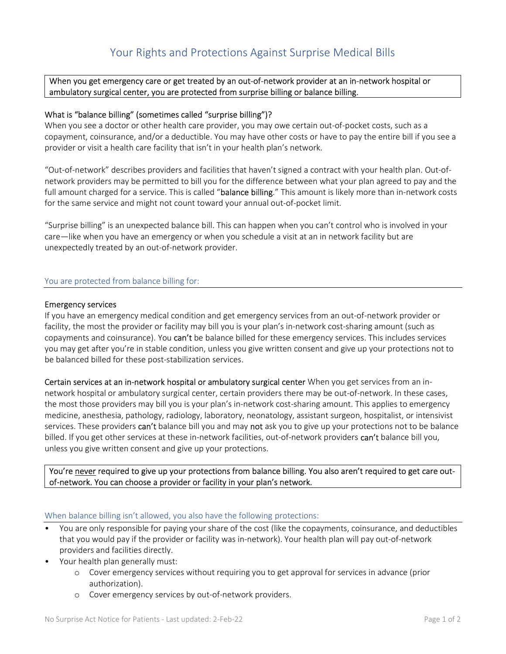## When you get emergency care or get treated by an out-of-network provider at an in-network hospital or ambulatory surgical center, you are protected from surprise billing or balance billing.

# What is "balance billing" (sometimes called "surprise billing")?

When you see a doctor or other health care provider, you may owe certain out-of-pocket costs, such as a copayment, coinsurance, and/or a deductible. You may have other costs or have to pay the entire bill if you see a provider or visit a health care facility that isn't in your health plan's network.

"Out-of-network" describes providers and facilities that haven't signed a contract with your health plan. Out-ofnetwork providers may be permitted to bill you for the difference between what your plan agreed to pay and the full amount charged for a service. This is called "balance billing." This amount is likely more than in-network costs for the same service and might not count toward your annual out-of-pocket limit.

"Surprise billing" is an unexpected balance bill. This can happen when you can't control who is involved in your care—like when you have an emergency or when you schedule a visit at an in network facility but are unexpectedly treated by an out-of-network provider.

### You are protected from balance billing for:

### Emergency services

If you have an emergency medical condition and get emergency services from an out-of-network provider or facility, the most the provider or facility may bill you is your plan's in-network cost-sharing amount (such as copayments and coinsurance). You **can't** be balance billed for these emergency services. This includes services you may get after you're in stable condition, unless you give written consent and give up your protections not to be balanced billed for these post-stabilization services.

Certain services at an in-network hospital or ambulatory surgical center When you get services from an innetwork hospital or ambulatory surgical center, certain providers there may be out-of-network. In these cases, the most those providers may bill you is your plan's in-network cost-sharing amount. This applies to emergency medicine, anesthesia, pathology, radiology, laboratory, neonatology, assistant surgeon, hospitalist, or intensivist services. These providers can't balance bill you and may not ask you to give up your protections not to be balance billed. If you get other services at these in-network facilities, out-of-network providers can't balance bill you, unless you give written consent and give up your protections.

You're never required to give up your protections from balance billing. You also aren't required to get care outof-network. You can choose a provider or facility in your plan's network.

#### When balance billing isn't allowed, you also have the following protections:

- You are only responsible for paying your share of the cost (like the copayments, coinsurance, and deductibles that you would pay if the provider or facility was in-network). Your health plan will pay out-of-network providers and facilities directly.
- Your health plan generally must:
	- o Cover emergency services without requiring you to get approval for services in advance (prior authorization).
	- o Cover emergency services by out-of-network providers.